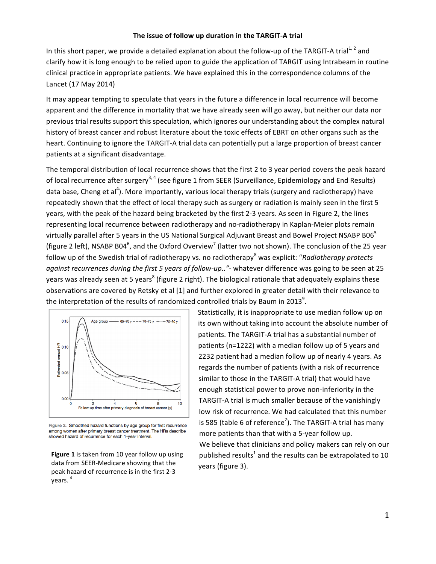## The issue of follow up duration in the TARGIT-A trial

In this short paper, we provide a detailed explanation about the follow-up of the TARGIT-A trial<sup>1,2</sup> and clarify how it is long enough to be relied upon to guide the application of TARGIT using Intrabeam in routine clinical practice in appropriate patients. We have explained this in the correspondence columns of the Lancet (17 May 2014)

It may appear tempting to speculate that years in the future a difference in local recurrence will become apparent and the difference in mortality that we have already seen will go away, but neither our data nor previous trial results support this speculation, which ignores our understanding about the complex natural history of breast cancer and robust literature about the toxic effects of EBRT on other organs such as the heart. Continuing to ignore the TARGIT-A trial data can potentially put a large proportion of breast cancer patients at a significant disadvantage.

The temporal distribution of local recurrence shows that the first 2 to 3 year period covers the peak hazard of local recurrence after surgery<sup>3, 4</sup> (see figure 1 from SEER (Surveillance, Epidemiology and End Results) data base, Cheng et al<sup>4</sup>). More importantly, various local therapy trials (surgery and radiotherapy) have repeatedly shown that the effect of local therapy such as surgery or radiation is mainly seen in the first 5 years, with the peak of the hazard being bracketed by the first 2-3 years. As seen in Figure 2, the lines representing local recurrence between radiotherapy and no-radiotherapy in Kaplan-Meier plots remain virtually parallel after 5 years in the US National Surgical Adjuvant Breast and Bowel Project NSABP B06<sup>5</sup> (figure 2 left), NSABP B04<sup>6</sup>, and the Oxford Overview<sup>7</sup> (latter two not shown). The conclusion of the 25 year follow up of the Swedish trial of radiotherapy vs. no radiotherapy<sup>8</sup> was explicit: "*Radiotherapy protects* against recurrences during the first 5 years of follow-up.."- whatever difference was going to be seen at 25 years was already seen at 5 years<sup>8</sup> (figure 2 right). The biological rationale that adequately explains these observations are covered by Retsky et al [1] and further explored in greater detail with their relevance to the interpretation of the results of randomized controlled trials by Baum in 2013 $^9$ .



Figure 2. Smoothed hazard functions by age group for first recurrence among women after primary breast cancer treatment. The HRs describe showed hazard of recurrence for each 1-year interval.

**Figure 1** is taken from 10 year follow up using data from SEER-Medicare showing that the peak hazard of recurrence is in the first 2-3 years. <sup>4</sup>

Statistically, it is inappropriate to use median follow up on its own without taking into account the absolute number of patients. The TARGIT-A trial has a substantial number of patients ( $n=1222$ ) with a median follow up of 5 years and 2232 patient had a median follow up of nearly 4 years. As regards the number of patients (with a risk of recurrence similar to those in the TARGIT-A trial) that would have enough statistical power to prove non-inferiority in the TARGIT-A trial is much smaller because of the vanishingly low risk of recurrence. We had calculated that this number is 585 (table 6 of reference<sup>2</sup>). The TARGIT-A trial has many more patients than that with a 5-year follow up. We believe that clinicians and policy makers can rely on our published results<sup>1</sup> and the results can be extrapolated to 10 years (figure 3).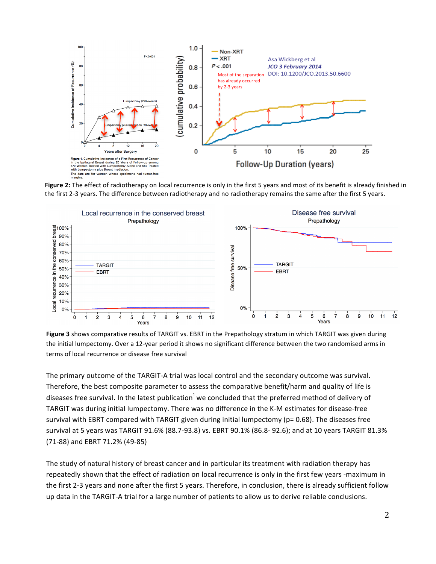

**Figure 2:** The effect of radiotherapy on local recurrence is only in the first 5 years and most of its benefit is already finished in the first 2-3 years. The difference between radiotherapy and no radiotherapy remains the same after the first 5 years.



**Figure 3** shows comparative results of TARGIT vs. EBRT in the Prepathology stratum in which TARGIT was given during the initial lumpectomy. Over a 12-year period it shows no significant difference between the two randomised arms in terms of local recurrence or disease free survival

The primary outcome of the TARGIT-A trial was local control and the secondary outcome was survival. Therefore, the best composite parameter to assess the comparative benefit/harm and quality of life is diseases free survival. In the latest publication<sup>1</sup> we concluded that the preferred method of delivery of TARGIT was during initial lumpectomy. There was no difference in the K-M estimates for disease-free survival with EBRT compared with TARGIT given during initial lumpectomy ( $p= 0.68$ ). The diseases free survival at 5 years was TARGIT 91.6% (88.7-93.8) vs. EBRT 90.1% (86.8- 92.6); and at 10 years TARGIT 81.3% (71-88) and EBRT 71.2% (49-85)

The study of natural history of breast cancer and in particular its treatment with radiation therapy has repeatedly shown that the effect of radiation on local recurrence is only in the first few years -maximum in the first 2-3 years and none after the first 5 years. Therefore, in conclusion, there is already sufficient follow up data in the TARGIT-A trial for a large number of patients to allow us to derive reliable conclusions.